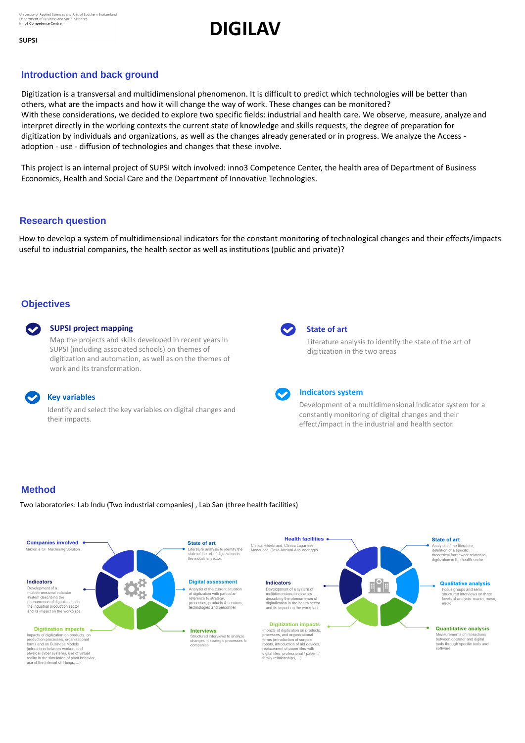University of Applied Sciences and Arts of Southern Switzerland Department of Business and Social Sciences Inno3 Competence Centre

# **DIGILAV**

### **Introduction and back ground**

Digitization is a transversal and multidimensional phenomenon. It is difficult to predict which technologies will be better than others, what are the impacts and how it will change the way of work. These changes can be monitored? With these considerations, we decided to explore two specific fields: industrial and health care. We observe, measure, analyze and interpret directly in the working contexts the current state of knowledge and skills requests, the degree of preparation for digitization by individuals and organizations, as well as the changes already generated or in progress. We analyze the Access adoption - use - diffusion of technologies and changes that these involve.

This project is an internal project of SUPSI witch involved: inno3 Competence Center, the health area of Department of Business Economics, Health and Social Care and the Department of Innovative Technologies.

## **Research question**

## **Method**

### **SUPSI project mapping**

Map the projects and skills developed in recent years in SUPSI (including associated schools) on themes of digitization and automation, as well as on the themes of work and its transformation.







Development of a multidimensional indicator system for a constantly monitoring of digital changes and their effect/impact in the industrial and health sector.

### **State of art**

Literature analysis to identify the state of the art of digitization in the two areas

### **Key variables**

Identify and select the key variables on digital changes and their impacts.

## **Objectives**

How to develop a system of multidimensional indicators for the constant monitoring of technological changes and their effects/impacts useful to industrial companies, the health sector as well as institutions (public and private)?

Two laboratories: Lab Indu (Two industrial companies) , Lab San (three health facilities)



system describing the phenomenon of digitalization in the industrial production sector and its impact on the workplace.

#### **Digitization impacts**

Impacts of digitization on products, on production processes, organizational forms and on Business Models (interaction between workers and physical cyber systems, use of virtual reality in the simulation of plant behavior, use of the Internet of Things, ...)

reference to strategy, processes, products & services, technologies and personnel.

**Interviews** 

companies

Structured interviews to analyze

changes in strategic processes for

describing the phenomenon of digitalization in the health sector and its impact on the workplace.

#### **Digitization impacts**

Impacts of digitization on products, processes, and organizational forms (introduction of surgical robots, introduction of aid devices, replacement of paper files with digital files, professional / patient / family relationships, ...)

levels of analysis: macro, meso, micro

#### **Quantitative analysis**

Measurements of interactions between operator and digital tools through specific tools and software